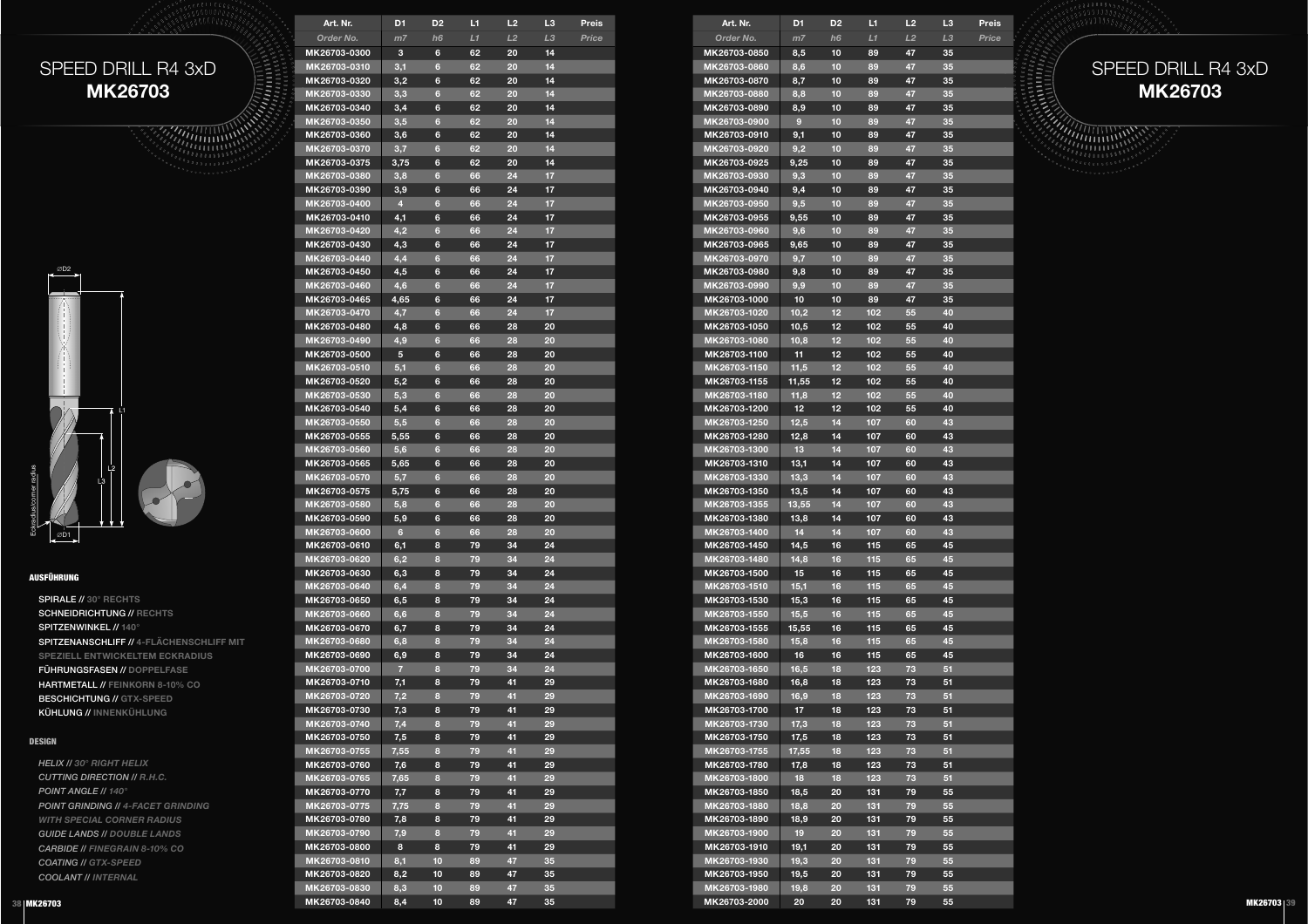SPEED DRILL R4 3xD**MK26703**



### AUSFÜHRUNG

SPIRALE // **30° RECHTS** SCHNEIDRICHTUNG // **RECHTS**SPITZENWINKEL // **140°** SPITZENANSCHLIFF // **4-FLÄCHENSCHLIFF MIT SPEZIELL ENTWICKELTEM ECKRADIUS**FÜHRUNGSFASEN // **DOPPELFASE** HARTMETALL // **FEINKORN 8-10% CO**BESCHICHTUNG // **GTX-SPEED**KÜHLUNG // **INNENKÜHLUNG**

#### DESIGN

*HELIX // 30° RIGHT HELIX CUTTING DIRECTION // R.H.C. POINT ANGLE // 140° POINT GRINDING // 4-FACET GRINDING WITH SPECIAL CORNER RADIUS GUIDE LANDS // DOUBLE LANDS CARBIDE // FINEGRAIN 8-10% CO COATING // GTX-SPEEDCOOLANT // INTERNAL*

| Art. Nr.     | D <sub>1</sub> | D <sub>2</sub> | L1 | L2 | L3 | Preis |
|--------------|----------------|----------------|----|----|----|-------|
| Order No.    | m <sub>7</sub> | h <sub>6</sub> | L1 | L2 | LЗ | Price |
| MK26703-0300 | 3              | 6              | 62 | 20 | 14 |       |
| MK26703-0310 | 3,1            | $6\phantom{1}$ | 62 | 20 | 14 |       |
| MK26703-0320 | 3,2            | 6              | 62 | 20 | 14 |       |
| MK26703-0330 | 3,3            | $6\phantom{1}$ | 62 | 20 | 14 |       |
| MK26703-0340 | 3,4            | 6              | 62 | 20 | 14 |       |
| MK26703-0350 | 3,5            | $6\phantom{1}$ | 62 | 20 | 14 |       |
| MK26703-0360 | 3,6            | 6              | 62 | 20 | 14 |       |
| MK26703-0370 | 3,7            | $6\phantom{a}$ | 62 | 20 | 14 |       |
| MK26703-0375 | 3,75           | 6              | 62 | 20 | 14 |       |
| MK26703-0380 | 3,8            | $6\phantom{a}$ | 66 | 24 | 17 |       |
| MK26703-0390 | 3,9            | 6              | 66 | 24 | 17 |       |
| MK26703-0400 | 4              | $6\phantom{a}$ | 66 | 24 | 17 |       |
| MK26703-0410 | 4,1            | 6              | 66 | 24 | 17 |       |
| MK26703-0420 | 4,2            | $6\phantom{a}$ | 66 | 24 | 17 |       |
| MK26703-0430 |                | 6              | 66 | 24 |    |       |
| MK26703-0440 | 4,3            | $6\phantom{1}$ | 66 | 24 | 17 |       |
|              | 4,4            |                |    |    | 17 |       |
| MK26703-0450 | 4,5            | 6              | 66 | 24 | 17 |       |
| MK26703-0460 | 4,6            | $6\phantom{1}$ | 66 | 24 | 17 |       |
| MK26703-0465 | 4,65           | 6              | 66 | 24 | 17 |       |
| MK26703-0470 | 4,7            | $6\phantom{1}$ | 66 | 24 | 17 |       |
| MK26703-0480 | 4,8            | 6              | 66 | 28 | 20 |       |
| MK26703-0490 | 4,9            | $6\phantom{a}$ | 66 | 28 | 20 |       |
| MK26703-0500 | 5              | 6              | 66 | 28 | 20 |       |
| MK26703-0510 | 5,1            | 6              | 66 | 28 | 20 |       |
| MK26703-0520 | 5,2            | 6              | 66 | 28 | 20 |       |
| MK26703-0530 | 5,3            | $6\phantom{a}$ | 66 | 28 | 20 |       |
| MK26703-0540 | 5,4            | 6              | 66 | 28 | 20 |       |
| MK26703-0550 | 5,5            | $6\phantom{1}$ | 66 | 28 | 20 |       |
| MK26703-0555 | 5,55           | 6              | 66 | 28 | 20 |       |
| MK26703-0560 | 5,6            | $6\phantom{1}$ | 66 | 28 | 20 |       |
| MK26703-0565 | 5,65           | 6              | 66 | 28 | 20 |       |
| MK26703-0570 | 5,7            | 6              | 66 | 28 | 20 |       |
| MK26703-0575 | 5,75           | 6              | 66 | 28 | 20 |       |
| MK26703-0580 | 5,8            | $6\phantom{1}$ | 66 | 28 | 20 |       |
| MK26703-0590 | 5,9            | 6              | 66 | 28 | 20 |       |
| MK26703-0600 | $6\phantom{a}$ | 6              | 66 | 28 | 20 |       |
| MK26703-0610 | 6,1            | 8              | 79 | 34 | 24 |       |
| MK26703-0620 | 6,2            | 8              | 79 | 34 | 24 |       |
| MK26703-0630 | 6,3            | 8              | 79 | 34 | 24 |       |
| MK26703-0640 | 6,4            | 8              | 79 | 34 | 24 |       |
| MK26703-0650 | 6,5            | 8              | 79 | 34 | 24 |       |
| MK26703-0660 | 6,6            | 8              | 79 | 34 | 24 |       |
| MK26703-0670 | 6,7            | 8              | 79 | 34 | 24 |       |
| MK26703-0680 | 6,8            | 8              | 79 | 34 | 24 |       |
| MK26703-0690 | 6,9            | 8              | 79 | 34 | 24 |       |
| MK26703-0700 | 7              | 8              | 79 | 34 | 24 |       |
| MK26703-0710 | 7,1            | 8              | 79 | 41 | 29 |       |
| MK26703-0720 | 7,2            | 8              | 79 | 41 | 29 |       |
| MK26703-0730 | 7,3            | 8              | 79 | 41 | 29 |       |
| MK26703-0740 | 7,4            | 8              | 79 | 41 | 29 |       |
| MK26703-0750 | 7,5            | 8              | 79 | 41 | 29 |       |
| MK26703-0755 | 7,55           | 8              | 79 | 41 | 29 |       |
| MK26703-0760 | 7,6            | 8              | 79 | 41 | 29 |       |
| MK26703-0765 | 7,65           | 8              | 79 | 41 | 29 |       |
| MK26703-0770 | 7,7            | 8              | 79 | 41 | 29 |       |
| MK26703-0775 | 7,75           | 8              | 79 | 41 | 29 |       |
| MK26703-0780 | 7,8            | 8              | 79 | 41 | 29 |       |
| MK26703-0790 | 7,9            | 8              | 79 | 41 | 29 |       |
| MK26703-0800 | 8              | 8              | 79 | 41 | 29 |       |
| MK26703-0810 | 8,1            | 10             | 89 | 47 | 35 |       |
| MK26703-0820 | 8,2            | 10             | 89 | 47 | 35 |       |
| MK26703-0830 | 8,3            | 10             | 89 | 47 | 35 |       |
| MK26703-0840 | 8,4            | 10             | 89 | 47 | 35 |       |
|              |                |                |    |    |    |       |

| 3      | Preis | Art. Nr.                     | D <sub>1</sub> | D <sub>2</sub>        | L1         | L2       | L <sub>3</sub> | Preis | <b>ARABALLISAR</b> |
|--------|-------|------------------------------|----------------|-----------------------|------------|----------|----------------|-------|--------------------|
| 3      | Price | Order No.                    | m <sub>7</sub> | h <sub>6</sub>        | L1         | L2       | L <sub>3</sub> | Price |                    |
| 4      |       | MK26703-0850                 | 8,5            | 10                    | 89         | 47       | 35             |       |                    |
| 4      |       | MK26703-0860                 | 8,6            | 10                    | 89         | 47       | 35             |       | SPEED DRILL R4 3xD |
| 4      |       | MK26703-0870                 | 8,7            | 10                    | 89         | 47       | 35             |       |                    |
| 4      |       | MK26703-0880                 | 8,8            | 10                    | 89         | 47       | 35             |       | <b>MK26703</b>     |
| 4      |       | MK26703-0890                 | 8,9            | 10                    | 89         | 47       | 35             |       |                    |
| 4      |       | MK26703-0900                 | 9              | 10                    | 89         | 47       | 35             |       |                    |
| 4      |       | MK26703-0910                 | 9,1            | 10                    | 89         | 47       | 35             |       |                    |
| 4      |       | MK26703-0920                 | 9,2            | 10                    | 89         | 47       | 35             |       |                    |
| 4      |       | MK26703-0925                 | 9,25           | 10                    | 89         | 47       | 35             |       |                    |
| 7      |       | MK26703-0930                 | 9,3            | 10                    | 89         | 47       | 35             |       |                    |
| 7      |       | MK26703-0940                 | 9,4            | 10                    | 89         | 47       | 35             |       |                    |
| 7      |       | MK26703-0950                 | 9,5            | 10                    | 89         | 47       | 35             |       |                    |
| 7      |       | MK26703-0955                 | 9,55           | 10                    | 89         | 47       | 35             |       |                    |
| 7      |       | MK26703-0960                 | 9,6            | 10                    | 89         | 47       | 35             |       |                    |
| 7      |       | MK26703-0965                 | 9,65           | 10                    | 89         | 47       | 35             |       |                    |
| 7      |       | MK26703-0970                 | 9,7            | 10                    | 89         | 47       | 35             |       |                    |
| 7      |       | MK26703-0980                 | 9,8            | 10                    | 89         | 47       | 35             |       |                    |
| 7      |       | MK26703-0990                 | 9,9            | 10                    | 89         | 47       | 35             |       |                    |
| 7      |       | MK26703-1000                 | 10             | 10                    | 89         | 47       | 35             |       |                    |
| 7      |       | MK26703-1020                 | 10,2           | 12                    | 102        | 55       | 40             |       |                    |
| 0      |       | MK26703-1050                 | 10,5           | 12                    | 102        | 55       | 40             |       |                    |
| o      |       | MK26703-1080                 | 10,8           | 12                    | 102        | 55       | 40             |       |                    |
| 0      |       | MK26703-1100                 | 11             | 12                    | 102        | 55       | 40             |       |                    |
| 0      |       | MK26703-1150                 | 11,5           | 12                    | 102        | 55       | 40             |       |                    |
| 0      |       | MK26703-1155                 | 11,55          | 12<br>12 <sub>2</sub> | 102<br>102 | 55       | 40<br>40       |       |                    |
| 0<br>Ō |       | MK26703-1180                 | 11,8           |                       |            | 55       | 40             |       |                    |
| 0      |       | MK26703-1200<br>MK26703-1250 | 12<br>12,5     | 12<br>14              | 102<br>107 | 55<br>60 | 43             |       |                    |
| 0      |       | MK26703-1280                 |                | 14                    | 107        | 60       | 43             |       |                    |
| O      |       | MK26703-1300                 | 12,8<br>13     | 14                    | 107        | 60       | 43             |       |                    |
| 0      |       | MK26703-1310                 | 13,1           | 14                    | 107        | 60       | 43             |       |                    |
| 0      |       | MK26703-1330                 | 13,3           | 14                    | 107        | 60       | 43             |       |                    |
| 0      |       | MK26703-1350                 | 13,5           | 14                    | 107        | 60       | 43             |       |                    |
| O      |       | MK26703-1355                 | 13,55          | 14                    | 107        | 60       | 43             |       |                    |
| 0      |       | MK26703-1380                 | 13,8           | 14                    | 107        | 60       | 43             |       |                    |
| O      |       | MK26703-1400                 | 14             | 14                    | 107        | 60       | 43             |       |                    |
| 4      |       | MK26703-1450                 | 14,5           | 16                    | 115        | 65       | 45             |       |                    |
| 4      |       | MK26703-1480                 | 14,8           | 16                    | 115        | 65       | 45             |       |                    |
| 4      |       | MK26703-1500                 | 15             | 16                    | 115        | 65       | 45             |       |                    |
| 4      |       | MK26703-1510                 | 15,1           | 16                    | 115        | 65       | 45             |       |                    |
| 4      |       | MK26703-1530                 | 15,3           | 16                    | 115        | 65       | 45             |       |                    |
| 4      |       | MK26703-1550                 | 15,5           | 16                    | 115        | 65       | 45             |       |                    |
| 4      |       | MK26703-1555                 | 15,55          | 16                    | 115        | 65       | 45             |       |                    |
| 4      |       | MK26703-1580                 | 15,8           | 16                    | 115        | 65       | 45             |       |                    |
| 4      |       | MK26703-1600                 | 16             | 16                    | 115        | 65       | 45             |       |                    |
| 4      |       | MK26703-1650                 | 16,5           | 18                    | 123        | 73       | 51             |       |                    |
| 9      |       | MK26703-1680                 | 16,8           | 18                    | 123        | 73       | 51             |       |                    |
| 9      |       | MK26703-1690                 | 16,9           | 18                    | 123        | 73       | 51             |       |                    |
|        |       | MK26703-1700                 | 17             | 18                    | 123        | 73       | 51             |       |                    |
| 9      |       | MK26703-1730                 | 17,3           | 18                    | 123        | 73       | 51             |       |                    |
| 9      |       | MK26703-1750                 | 17,5           | 18                    | 123        | 73       | 51             |       |                    |
| 9      |       | MK26703-1755                 | 17,55          | 18                    | 123        | 73       | 51             |       |                    |
| 9      |       | MK26703-1780                 | 17,8           | 18                    | 123        | 73       | 51             |       |                    |
| 9      |       | MK26703-1800                 | 18             | 18                    | 123        | 73       | 51             |       |                    |
| 9      |       | MK26703-1850                 | 18,5           | 20                    | 131        | 79       | 55             |       |                    |
| 9      |       | MK26703-1880                 | 18,8           | 20                    | 131        | 79       | 55             |       |                    |
| 9      |       | MK26703-1890                 | 18,9           | 20                    | 131        | 79       | 55             |       |                    |
| 9      |       | MK26703-1900                 | 19             | 20                    | 131        | 79       | 55             |       |                    |
| 9      |       | MK26703-1910                 | 19,1           | 20                    | 131        | 79       | 55             |       |                    |
| 5      |       | MK26703-1930                 | 19,3           | 20                    | 131        | 79       | 55             |       |                    |
| 5      |       | MK26703-1950                 | 19,5           | 20                    | 131        | 79       | 55             |       |                    |
| 5      |       | MK26703-1980                 | 19,8           | 20                    | 131        | 79       | 55             |       |                    |
| 5      |       | MK26703-2000                 | 20             | 20                    | 131        | 79       | 55             |       | <b>MK26703 39</b>  |

### SPEED DRILL R4 3xD**MK26703**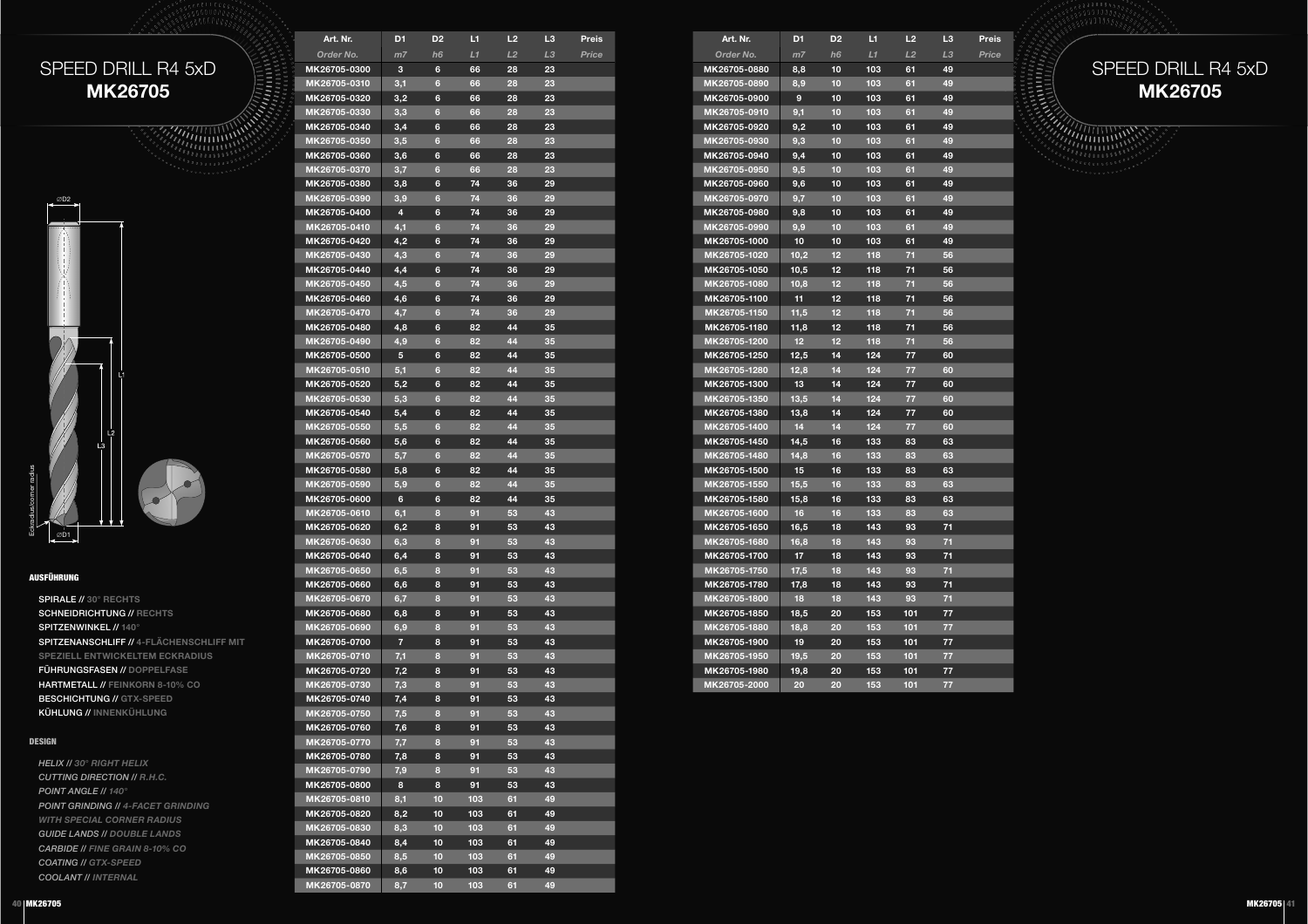



### AUSFÜHRUNG

SPIRALE // **30° RECHTS** SCHNEIDRICHTUNG // **RECHTS**SPITZENWINKEL // **140°** SPITZENANSCHLIFF // **4-FLÄCHENSCHLIFF MIT SPEZIELL ENTWICKELTEM ECKRADIUS**FÜHRUNGSFASEN // **DOPPELFASE** HARTMETALL // **FEINKORN 8-10% CO**BESCHICHTUNG // **GTX-SPEED**KÜHLUNG // **INNENKÜHLUNG**

### DESIGN

*HELIX // 30° RIGHT HELIX CUTTING DIRECTION // R.H.C. POINT ANGLE // 140° POINT GRINDING // 4-FACET GRINDING WITH SPECIAL CORNER RADIUS GUIDE LANDS // DOUBLE LANDS CARBIDE // FINE GRAIN 8-10% CO COATING // GTX-SPEEDCOOLANT // INTERNAL*

| Art. Nr.                     | D <sub>1</sub> | D <sub>2</sub>  | и        | L2              | L <sub>3</sub> | Preis |
|------------------------------|----------------|-----------------|----------|-----------------|----------------|-------|
| Order No.                    | m7             | h6              | L1       | $\overline{L2}$ | L3             | Price |
| MK26705-0300                 | 3              | 6               | 66       | 28              | 23             |       |
| MK26705-0310                 | 3,1            | $6\phantom{a}$  | 66       | 28              | 23             |       |
| MK26705-0320                 | 3,2            | 6               | 66       | 28              | 23             |       |
| MK26705-0330                 | 3,3            | $6\phantom{a}$  | 66       | 28              | 23             |       |
| MK26705-0340                 | 3,4            | 6               | 66       | 28              | 23             |       |
| MK26705-0350                 | 3,5            | 6               | 66       | 28              | 23             |       |
| MK26705-0360                 | 3,6            | 6               | 66       | 28              | 23             |       |
| MK26705-0370                 | 3,7            | 6               | 66       | 28              | 23             |       |
| MK26705-0380                 | 3,8            | 6               | 74       | 36              | 29             |       |
| MK26705-0390                 | 3,9            | 6               | 74       | 36              | 29             |       |
| MK26705-0400                 | 4              | 6               | 74       | 36              | 29             |       |
| MK26705-0410                 | 4,1            | $6\phantom{a}$  | 74       | 36              | 29             |       |
| MK26705-0420                 | 4,2            | 6               | 74       | 36              | 29             |       |
| MK26705-0430                 | 4,3            | 6               | 74       | 36              | 29             |       |
| MK26705-0440                 | 4,4            | 6               | 74       | 36              | 29             |       |
| MK26705-0450                 | 4,5            | $6\phantom{a}$  | 74       | 36              | 29             |       |
| MK26705-0460                 | 4,6            | 6               | 74       | 36              | 29             |       |
| MK26705-0470                 | 4,7            | $6\phantom{a}$  | 74       | 36              | 29             |       |
| MK26705-0480                 | 4,8            | 6               | 82       | 44              | 35             |       |
| MK26705-0490                 | 4,9            | $6\phantom{1}6$ | 82       | 44              | 35             |       |
| MK26705-0500                 | 5              | 6               | 82       | 44              | 35             |       |
| MK26705-0510                 | 5,1            | 6               | 82       | 44              | 35             |       |
| MK26705-0520                 | 5,2            | 6               | 82       | 44              | 35             |       |
| MK26705-0530                 | 5,3            | 6               | 82       | 44              | 35             |       |
| MK26705-0540                 | 5,4            | 6               | 82       | 44              | 35             |       |
| MK26705-0550                 | 5,5            | 6               | 82       | 44              | 35             |       |
| MK26705-0560                 | 5,6            | 6               | 82       | 44              | 35             |       |
| MK26705-0570<br>MK26705-0580 | 5,7            | 6<br>6          | 82       | 44<br>44        | 35<br>35       |       |
| MK26705-0590                 | 5,8            | 6               | 82<br>82 | 44              | 35             |       |
| MK26705-0600                 | 5,9<br>6       | 6               | 82       | 44              | 35             |       |
| MK26705-0610                 | 6,1            | 8               | 91       | 53              | 43             |       |
| MK26705-0620                 | 6,2            | 8               | 91       | 53              | 43             |       |
| MK26705-0630                 | 6,3            | 8               | 91       | 53              | 43             |       |
| MK26705-0640                 | 6,4            | 8               | 91       | 53              | 43             |       |
| MK26705-0650                 | 6,5            | 8               | 91       | 53              | 43             |       |
| MK26705-0660                 | 6,6            | 8               | 91       | 53              | 43             |       |
| MK26705-0670                 | 6,7            | 8               | 91       | 53              | 43             |       |
| MK26705-0680                 | 6,8            | 8               | 91       | 53              | 43             |       |
| MK26705-0690                 | 6,9            | 8               | 91       | 53              | 43             |       |
| MK26705-0700                 | 7              | 8               | 91       | 53              | 43             |       |
| MK26705-0710                 | 7,1            | 8               | 91       | 53              | 43             |       |
| MK26705-0720                 | 7,2            | 8               | 91       | 53              | 43             |       |
| MK26705-0730                 | 7,3            | 8               | 91       | 53              | 43             |       |
| MK26705-0740                 | 7,4            | 8               | 91       | 53              | 43             |       |
| MK26705-0750                 | 7,5            | 8               | 91       | 53              | 43             |       |
| MK26705-0760                 | 7,6            | 8               | 91       | 53              | 43             |       |
| MK26705-0770                 | 7,7            | 8               | 91       | 53              | 43             |       |
| MK26705-0780                 | 7,8            | 8               | 91       | 53              | 43             |       |
| MK26705-0790                 | 7,9            | 8               | 91       | 53              | 43             |       |
| MK26705-0800                 | 8              | 8               | 91       | 53              | 43             |       |
| MK26705-0810                 | 8,1            | 10              | 103      | 61              | 49             |       |
| MK26705-0820                 | 8,2            | 10              | 103      | 61              | 49             |       |
| MK26705-0830                 | 8,3            | 10              | 103      | 61              | 49             |       |
| MK26705-0840                 | 8,4            | 10              | 103      | 61              | 49             |       |
| MK26705-0850                 | 8,5            | 10              | 103      | 61              | 49             |       |
| MK26705-0860                 | 8,6            | 10              | 103      | 61              | 49             |       |
| MK26705-0870                 | 8,7            | 10              | 103      | 61              | 49             |       |

| Art. Nr.     | D <sub>1</sub> | D <sub>2</sub> | и   | L2  | L <sub>3</sub>  | Preis |
|--------------|----------------|----------------|-----|-----|-----------------|-------|
| Order No.    | m7             | h <sub>6</sub> | L1  | L2  | LЗ              | Price |
| MK26705-0880 | 8,8            | 10             | 103 | 61  | 49              |       |
| MK26705-0890 | 8,9            | 10             | 103 | 61  | 49              |       |
| MK26705-0900 | 9              | 10             | 103 | 61  | 49              |       |
| MK26705-0910 | 9,1            | 10             | 103 | 61  | 49              |       |
| MK26705-0920 | 9,2            | 10             | 103 | 61  | 49              |       |
| MK26705-0930 | 9,3            | 10             | 103 | 61  | 49              |       |
| MK26705-0940 | 9,4            | 10             | 103 | 61  | 49              |       |
| MK26705-0950 | 9,5            | 10             | 103 | 61  | 49              |       |
| MK26705-0960 | 9,6            | 10             | 103 | 61  | 49              |       |
| MK26705-0970 | 9,7            | 10             | 103 | 61  | 49              |       |
| MK26705-0980 | 9,8            | 10             | 103 | 61  | 49              |       |
| MK26705-0990 | 9,9            | 10             | 103 | 61  | 49              |       |
| MK26705-1000 | 10             | 10             | 103 | 61  | 49              |       |
| MK26705-1020 | 10,2           | 12             | 118 | 71  | 56              |       |
| MK26705-1050 | 10,5           | 12             | 118 | 71  | 56              |       |
| MK26705-1080 | 10,8           | 12             | 118 | 71  | 56              |       |
| MK26705-1100 | 11             | 12             | 118 | 71  | 56              |       |
| MK26705-1150 | 11,5           | 12             | 118 | 71  | 56              |       |
| MK26705-1180 | 11,8           | 12             | 118 | 71  | 56              |       |
| MK26705-1200 | 12             | 12             | 118 | 71  | 56              |       |
| MK26705-1250 | 12,5           | 14             | 124 | 77  | 60              |       |
| MK26705-1280 | 12,8           | 14             | 124 | 77  | 60              |       |
| MK26705-1300 | 13             | 14             | 124 | 77  | 60              |       |
| MK26705-1350 | 13,5           | 14             | 124 | 77  | 60              |       |
| MK26705-1380 | 13,8           | 14             | 124 | 77  | 60              |       |
| MK26705-1400 | 14             | 14             | 124 | 77  | 60              |       |
| MK26705-1450 | 14,5           | 16             | 133 | 83  | 63              |       |
| MK26705-1480 | 14,8           | 16             | 133 | 83  | 63              |       |
| MK26705-1500 | 15             | 16             | 133 | 83  | 63              |       |
| MK26705-1550 | 15,5           | 16             | 133 | 83  | 63              |       |
| MK26705-1580 | 15,8           | 16             | 133 | 83  | 63              |       |
| MK26705-1600 | 16             | 16             | 133 | 83  | 63              |       |
| MK26705-1650 | 16,5           | 18             | 143 | 93  | 71              |       |
| MK26705-1680 | 16,8           | 18             | 143 | 93  | 71              |       |
| MK26705-1700 | 17             | 18             | 143 | 93  | $\overline{71}$ |       |
| MK26705-1750 | 17,5           | 18             | 143 | 93  | 71              |       |
| MK26705-1780 | 17,8           | 18             | 143 | 93  | 71              |       |
| MK26705-1800 | 18             | 18             | 143 | 93  | 71              |       |
| MK26705-1850 | 18,5           | 20             | 153 | 101 | 77              |       |
| MK26705-1880 | 18,8           | 20             | 153 | 101 | 77              |       |
| MK26705-1900 | 19             | 20             | 153 | 101 | 77              |       |
| MK26705-1950 | 19,5           | 20             | 153 | 101 | 77              |       |
| MK26705-1980 | 19,8           | 20             | 153 | 101 | 77              |       |
| MK26705-2000 | 20             | 20             | 153 | 101 | 77              |       |

### SPEED DRILL R4 5xD**MK26705**